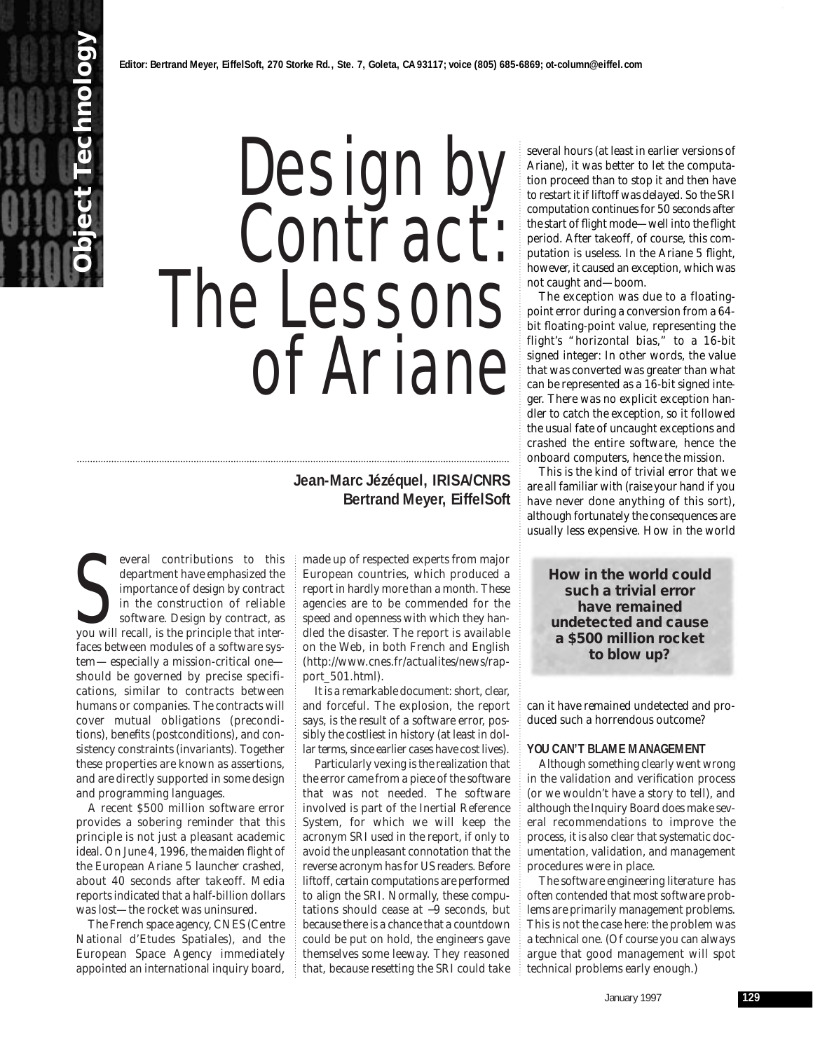# Design by Contract: The Lessons of Ariane

# **Jean-Marc Jézéquel, IRISA/CNRS Bertrand Meyer, EiffelSoft**

everal contributions to this<br>department have emphasized the<br>importance of design by contract<br>in the construction of reliable<br>software. Design by contract, as<br>you will recall, is the principle that intereveral contributions to this department have emphasized the importance of *design by contract* in the construction of reliable software. Design by contract, as faces between modules of a software system— especially a mission-critical one should be governed by precise specifications, similar to contracts between humans or companies. The contracts will cover mutual obligations (*preconditions*)*,* benefits (*postconditions*)*,* and consistency constraints (*invariants*)*.* Together these properties are known as *assertions,* and are directly supported in some design and programming languages.

**Object Technology**

A recent \$500 million software error provides a sobering reminder that this principle is not just a pleasant academic ideal. On June 4, 1996, the maiden flight of the European Ariane 5 launcher crashed, about 40 seconds after takeoff. Media reports indicated that a half-billion dollars was lost—the rocket was uninsured.

The French space agency, CNES (Centre National d'Etudes Spatiales), and the European Space Agency immediately appointed an international inquiry board, made up of respected experts from major European countries, which produced a report in hardly more than a month. These agencies are to be commended for the speed and openness with which they handled the disaster. The report is available on the Web, in both French and English (http://www.cnes.fr/actualites/news/rapport\_501.html).

It is a remarkable document: short, clear, and forceful. The explosion, the report says, is the result of a software error, possibly the costliest in history (at least in dollar terms, since earlier cases have cost lives).

Particularly vexing is the realization that the error came from a piece of the software that was *not* needed. The software involved is part of the Inertial Reference System, for which we will keep the acronym SRI used in the report, if only to avoid the unpleasant connotation that the reverse acronym has for US readers. Before liftoff, certain computations are performed to align the SRI. Normally, these computations should cease at −9 seconds, but because there is a chance that a countdown could be put on hold, the engineers gave themselves some leeway. They reasoned that, because resetting the SRI could take

several hours (at least in earlier versions of Ariane), it was better to let the computation proceed than to stop it and then have to restart it if liftoff was delayed. So the SRI computation continues for 50 seconds after the start of flight mode—well into the flight period. After takeoff, of course, this computation is useless. In the Ariane 5 flight, however, it caused an exception, which was not caught and—boom.

The exception was due to a floatingpoint error during a conversion from a 64 bit floating-point value, representing the flight's "horizontal bias," to a 16-bit signed integer: In other words, the value that was converted was greater than what can be represented as a 16-bit signed integer. There was no explicit exception handler to catch the exception, so it followed the usual fate of uncaught exceptions and crashed the entire software, hence the onboard computers, hence the mission.

This is the kind of trivial error that we are all familiar with (raise your hand if you have never done anything of this sort), although fortunately the consequences are usually less expensive. How in the world

**How in the world could such a trivial error have remained undetected and cause a \$500 million rocket to blow up?**

can it have remained undetected and produced such a horrendous outcome?

## **YOU CAN'T BLAME MANAGEMENT**

Although something clearly went wrong in the validation and verification process (or we wouldn't have a story to tell), and although the Inquiry Board does make several recommendations to improve the process, it is also clear that systematic documentation, validation, and management procedures were in place.

The software engineering literature has often contended that most software problems are primarily management problems. This is not the case here: the problem was a technical one. (Of course you can always argue that good management will spot technical problems early enough.)